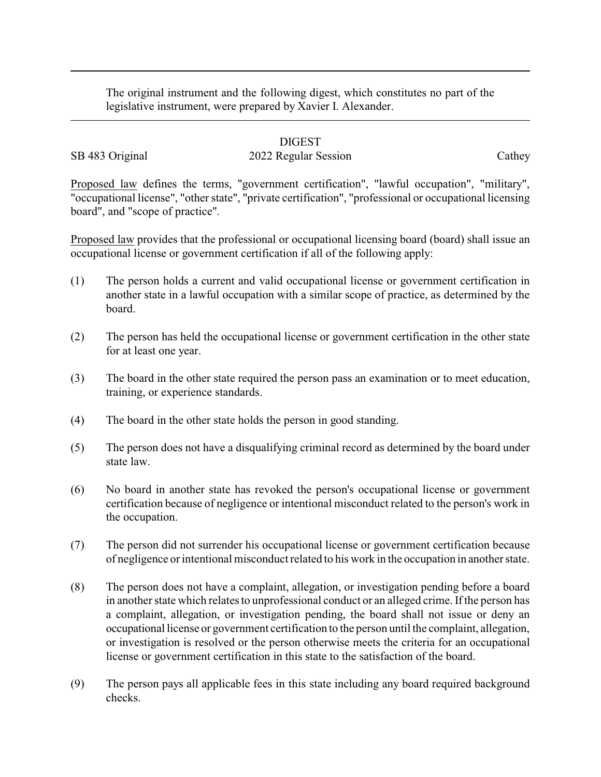The original instrument and the following digest, which constitutes no part of the legislative instrument, were prepared by Xavier I. Alexander.

## DIGEST

## SB 483 Original 2022 Regular Session Cathey

Proposed law defines the terms, "government certification", "lawful occupation", "military", "occupational license", "other state", "private certification", "professional or occupational licensing board", and "scope of practice".

Proposed law provides that the professional or occupational licensing board (board) shall issue an occupational license or government certification if all of the following apply:

- (1) The person holds a current and valid occupational license or government certification in another state in a lawful occupation with a similar scope of practice, as determined by the board.
- (2) The person has held the occupational license or government certification in the other state for at least one year.
- (3) The board in the other state required the person pass an examination or to meet education, training, or experience standards.
- (4) The board in the other state holds the person in good standing.
- (5) The person does not have a disqualifying criminal record as determined by the board under state law.
- (6) No board in another state has revoked the person's occupational license or government certification because of negligence or intentional misconduct related to the person's work in the occupation.
- (7) The person did not surrender his occupational license or government certification because of negligence or intentional misconduct related to his work in the occupation in another state.
- (8) The person does not have a complaint, allegation, or investigation pending before a board in another state which relates to unprofessional conduct or an alleged crime. If the person has a complaint, allegation, or investigation pending, the board shall not issue or deny an occupational license or government certification to the person until the complaint, allegation, or investigation is resolved or the person otherwise meets the criteria for an occupational license or government certification in this state to the satisfaction of the board.
- (9) The person pays all applicable fees in this state including any board required background checks.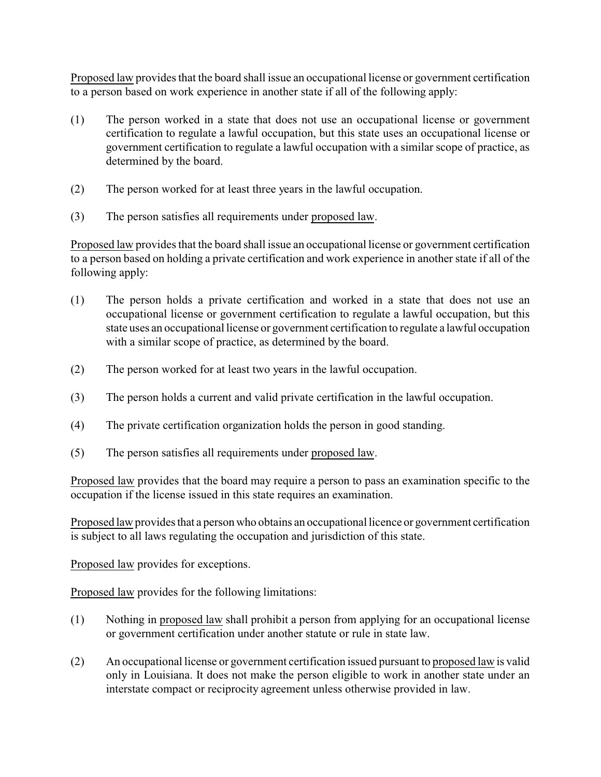Proposed law provides that the board shall issue an occupational license or government certification to a person based on work experience in another state if all of the following apply:

- (1) The person worked in a state that does not use an occupational license or government certification to regulate a lawful occupation, but this state uses an occupational license or government certification to regulate a lawful occupation with a similar scope of practice, as determined by the board.
- (2) The person worked for at least three years in the lawful occupation.
- (3) The person satisfies all requirements under proposed law.

Proposed law provides that the board shall issue an occupational license or government certification to a person based on holding a private certification and work experience in another state if all of the following apply:

- (1) The person holds a private certification and worked in a state that does not use an occupational license or government certification to regulate a lawful occupation, but this state uses an occupational license or government certification to regulate a lawful occupation with a similar scope of practice, as determined by the board.
- (2) The person worked for at least two years in the lawful occupation.
- (3) The person holds a current and valid private certification in the lawful occupation.
- (4) The private certification organization holds the person in good standing.
- (5) The person satisfies all requirements under proposed law.

Proposed law provides that the board may require a person to pass an examination specific to the occupation if the license issued in this state requires an examination.

Proposed law provides that a person who obtains an occupational licence or government certification is subject to all laws regulating the occupation and jurisdiction of this state.

Proposed law provides for exceptions.

Proposed law provides for the following limitations:

- (1) Nothing in proposed law shall prohibit a person from applying for an occupational license or government certification under another statute or rule in state law.
- (2) An occupational license or government certification issued pursuant to proposed law is valid only in Louisiana. It does not make the person eligible to work in another state under an interstate compact or reciprocity agreement unless otherwise provided in law.